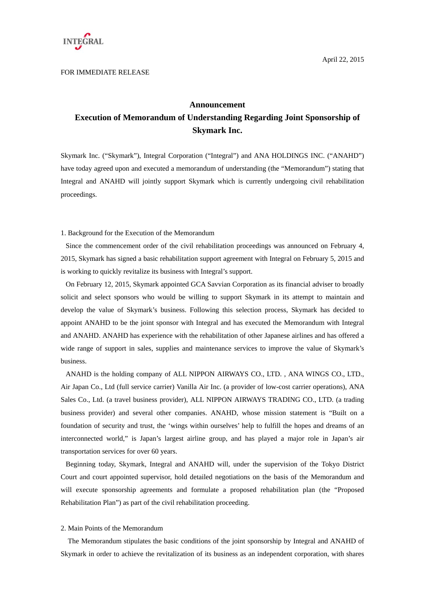

#### FOR IMMEDIATE RELEASE

## **Announcement**

# **Execution of Memorandum of Understanding Regarding Joint Sponsorship of Skymark Inc.**

Skymark Inc. ("Skymark"), Integral Corporation ("Integral") and ANA HOLDINGS INC. ("ANAHD") have today agreed upon and executed a memorandum of understanding (the "Memorandum") stating that Integral and ANAHD will jointly support Skymark which is currently undergoing civil rehabilitation proceedings.

## 1. Background for the Execution of the Memorandum

Since the commencement order of the civil rehabilitation proceedings was announced on February 4, 2015, Skymark has signed a basic rehabilitation support agreement with Integral on February 5, 2015 and is working to quickly revitalize its business with Integral's support.

On February 12, 2015, Skymark appointed GCA Savvian Corporation as its financial adviser to broadly solicit and select sponsors who would be willing to support Skymark in its attempt to maintain and develop the value of Skymark's business. Following this selection process, Skymark has decided to appoint ANAHD to be the joint sponsor with Integral and has executed the Memorandum with Integral and ANAHD. ANAHD has experience with the rehabilitation of other Japanese airlines and has offered a wide range of support in sales, supplies and maintenance services to improve the value of Skymark's business.

ANAHD is the holding company of ALL NIPPON AIRWAYS CO., LTD. , ANA WINGS CO., LTD., Air Japan Co., Ltd (full service carrier) Vanilla Air Inc. (a provider of low-cost carrier operations), ANA Sales Co., Ltd. (a travel business provider), ALL NIPPON AIRWAYS TRADING CO., LTD. (a trading business provider) and several other companies. ANAHD, whose mission statement is "Built on a foundation of security and trust, the 'wings within ourselves' help to fulfill the hopes and dreams of an interconnected world," is Japan's largest airline group, and has played a major role in Japan's air transportation services for over 60 years.

Beginning today, Skymark, Integral and ANAHD will, under the supervision of the Tokyo District Court and court appointed supervisor, hold detailed negotiations on the basis of the Memorandum and will execute sponsorship agreements and formulate a proposed rehabilitation plan (the "Proposed Rehabilitation Plan") as part of the civil rehabilitation proceeding.

#### 2. Main Points of the Memorandum

The Memorandum stipulates the basic conditions of the joint sponsorship by Integral and ANAHD of Skymark in order to achieve the revitalization of its business as an independent corporation, with shares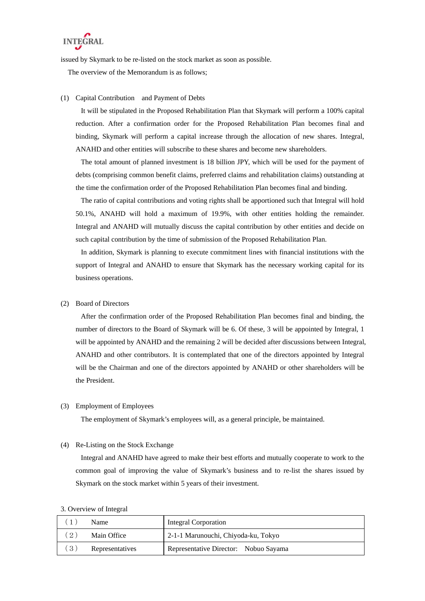

issued by Skymark to be re-listed on the stock market as soon as possible.

The overview of the Memorandum is as follows;

# (1) Capital Contribution and Payment of Debts

It will be stipulated in the Proposed Rehabilitation Plan that Skymark will perform a 100% capital reduction. After a confirmation order for the Proposed Rehabilitation Plan becomes final and binding, Skymark will perform a capital increase through the allocation of new shares. Integral, ANAHD and other entities will subscribe to these shares and become new shareholders.

The total amount of planned investment is 18 billion JPY, which will be used for the payment of debts (comprising common benefit claims, preferred claims and rehabilitation claims) outstanding at the time the confirmation order of the Proposed Rehabilitation Plan becomes final and binding.

The ratio of capital contributions and voting rights shall be apportioned such that Integral will hold 50.1%, ANAHD will hold a maximum of 19.9%, with other entities holding the remainder. Integral and ANAHD will mutually discuss the capital contribution by other entities and decide on such capital contribution by the time of submission of the Proposed Rehabilitation Plan.

In addition, Skymark is planning to execute commitment lines with financial institutions with the support of Integral and ANAHD to ensure that Skymark has the necessary working capital for its business operations.

#### (2) Board of Directors

After the confirmation order of the Proposed Rehabilitation Plan becomes final and binding, the number of directors to the Board of Skymark will be 6. Of these, 3 will be appointed by Integral, 1 will be appointed by ANAHD and the remaining 2 will be decided after discussions between Integral, ANAHD and other contributors. It is contemplated that one of the directors appointed by Integral will be the Chairman and one of the directors appointed by ANAHD or other shareholders will be the President.

## (3) Employment of Employees

The employment of Skymark's employees will, as a general principle, be maintained.

### (4) Re-Listing on the Stock Exchange

Integral and ANAHD have agreed to make their best efforts and mutually cooperate to work to the common goal of improving the value of Skymark's business and to re-list the shares issued by Skymark on the stock market within 5 years of their investment.

#### 3. Overview of Integral

|    | Name            | Integral Corporation                  |  |
|----|-----------------|---------------------------------------|--|
| 2) | Main Office     | 2-1-1 Marunouchi, Chiyoda-ku, Tokyo   |  |
| 3) | Representatives | Representative Director: Nobuo Sayama |  |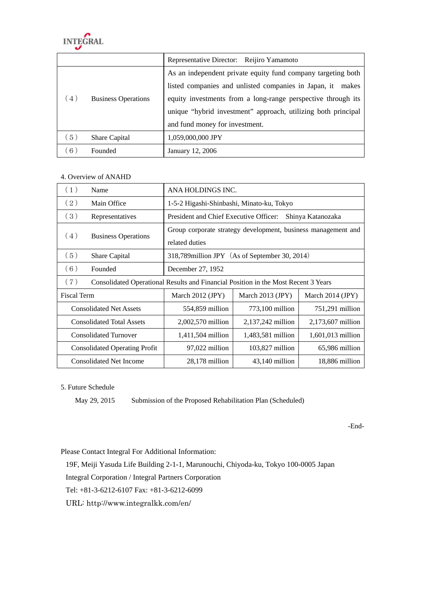

|     |                            | Representative Director: Reijiro Yamamoto                     |  |
|-----|----------------------------|---------------------------------------------------------------|--|
|     | <b>Business Operations</b> | As an independent private equity fund company targeting both  |  |
| (4) |                            | listed companies and unlisted companies in Japan, it<br>makes |  |
|     |                            | equity investments from a long-range perspective through its  |  |
|     |                            | unique "hybrid investment" approach, utilizing both principal |  |
|     |                            | and fund money for investment.                                |  |
| (5) | <b>Share Capital</b>       | 1,059,000,000 JPY                                             |  |
| 6)  | Founded                    | January 12, 2006                                              |  |

# 4. Overview of ANAHD

| (1)                                  | Name                                                                               | ANA HOLDINGS INC.                                                               |                   |                   |  |  |
|--------------------------------------|------------------------------------------------------------------------------------|---------------------------------------------------------------------------------|-------------------|-------------------|--|--|
| (2)                                  | Main Office                                                                        | 1-5-2 Higashi-Shinbashi, Minato-ku, Tokyo                                       |                   |                   |  |  |
| (3)                                  | Representatives                                                                    | President and Chief Executive Officer:<br>Shinya Katanozaka                     |                   |                   |  |  |
| (4)                                  | <b>Business Operations</b>                                                         | Group corporate strategy development, business management and<br>related duties |                   |                   |  |  |
| (5)                                  | Share Capital                                                                      | 318,789 million JPY (As of September 30, 2014)                                  |                   |                   |  |  |
| (6)                                  | Founded                                                                            | December 27, 1952                                                               |                   |                   |  |  |
| (7)                                  | Consolidated Operational Results and Financial Position in the Most Recent 3 Years |                                                                                 |                   |                   |  |  |
| <b>Fiscal Term</b>                   |                                                                                    | March $2012$ (JPY)                                                              | March 2013 (JPY)  | March 2014 (JPY)  |  |  |
| <b>Consolidated Net Assets</b>       |                                                                                    | 554,859 million                                                                 | $773,100$ million | 751,291 million   |  |  |
| <b>Consolidated Total Assets</b>     |                                                                                    | 2,002,570 million                                                               | 2,137,242 million | 2,173,607 million |  |  |
| <b>Consolidated Turnover</b>         |                                                                                    | 1,411,504 million                                                               | 1,483,581 million | 1,601,013 million |  |  |
| <b>Consolidated Operating Profit</b> |                                                                                    | 97,022 million                                                                  | $103,827$ million | 65,986 million    |  |  |
| <b>Consolidated Net Income</b>       |                                                                                    | $28,178$ million                                                                | $43,140$ million  | 18,886 million    |  |  |

5. Future Schedule

May 29, 2015 Submission of the Proposed Rehabilitation Plan (Scheduled)

-End-

Please Contact Integral For Additional Information:

19F, Meiji Yasuda Life Building 2-1-1, Marunouchi, Chiyoda-ku, Tokyo 100-0005 Japan

Integral Corporation / Integral Partners Corporation

Tel: +81-3-6212-6107 Fax: +81-3-6212-6099

URL: http://www.integralkk.com/en/